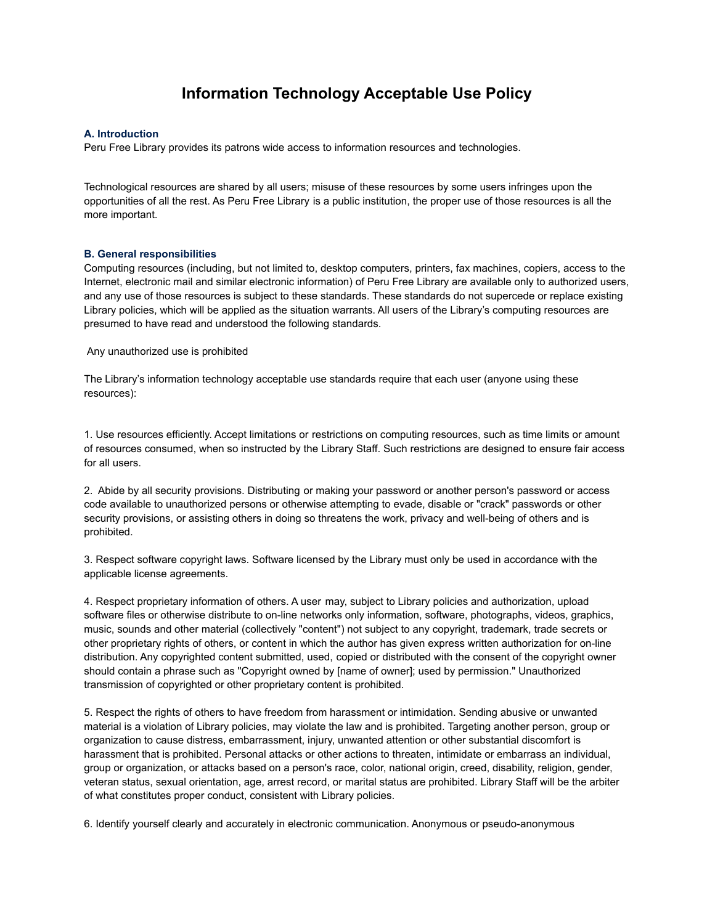## **Information Technology Acceptable Use Policy**

## **A. Introduction**

Peru Free Library provides its patrons wide access to information resources and technologies.

Technological resources are shared by all users; misuse of these resources by some users infringes upon the opportunities of all the rest. As Peru Free Library is a public institution, the proper use of those resources is all the more important.

## **B. General responsibilities**

Computing resources (including, but not limited to, desktop computers, printers, fax machines, copiers, access to the Internet, electronic mail and similar electronic information) of Peru Free Library are available only to authorized users, and any use of those resources is subject to these standards. These standards do not supercede or replace existing Library policies, which will be applied as the situation warrants. All users of the Library's computing resources are presumed to have read and understood the following standards.

Any unauthorized use is prohibited

The Library's information technology acceptable use standards require that each user (anyone using these resources):

1. Use resources efficiently. Accept limitations or restrictions on computing resources, such as time limits or amount of resources consumed, when so instructed by the Library Staff. Such restrictions are designed to ensure fair access for all users.

2. Abide by all security provisions. Distributing or making your password or another person's password or access code available to unauthorized persons or otherwise attempting to evade, disable or "crack" passwords or other security provisions, or assisting others in doing so threatens the work, privacy and well-being of others and is prohibited.

3. Respect software copyright laws. Software licensed by the Library must only be used in accordance with the applicable license agreements.

4. Respect proprietary information of others. A user may, subject to Library policies and authorization, upload software files or otherwise distribute to on-line networks only information, software, photographs, videos, graphics, music, sounds and other material (collectively "content") not subject to any copyright, trademark, trade secrets or other proprietary rights of others, or content in which the author has given express written authorization for on-line distribution. Any copyrighted content submitted, used, copied or distributed with the consent of the copyright owner should contain a phrase such as "Copyright owned by [name of owner]; used by permission." Unauthorized transmission of copyrighted or other proprietary content is prohibited.

5. Respect the rights of others to have freedom from harassment or intimidation. Sending abusive or unwanted material is a violation of Library policies, may violate the law and is prohibited. Targeting another person, group or organization to cause distress, embarrassment, injury, unwanted attention or other substantial discomfort is harassment that is prohibited. Personal attacks or other actions to threaten, intimidate or embarrass an individual, group or organization, or attacks based on a person's race, color, national origin, creed, disability, religion, gender, veteran status, sexual orientation, age, arrest record, or marital status are prohibited. Library Staff will be the arbiter of what constitutes proper conduct, consistent with Library policies.

6. Identify yourself clearly and accurately in electronic communication. Anonymous or pseudo-anonymous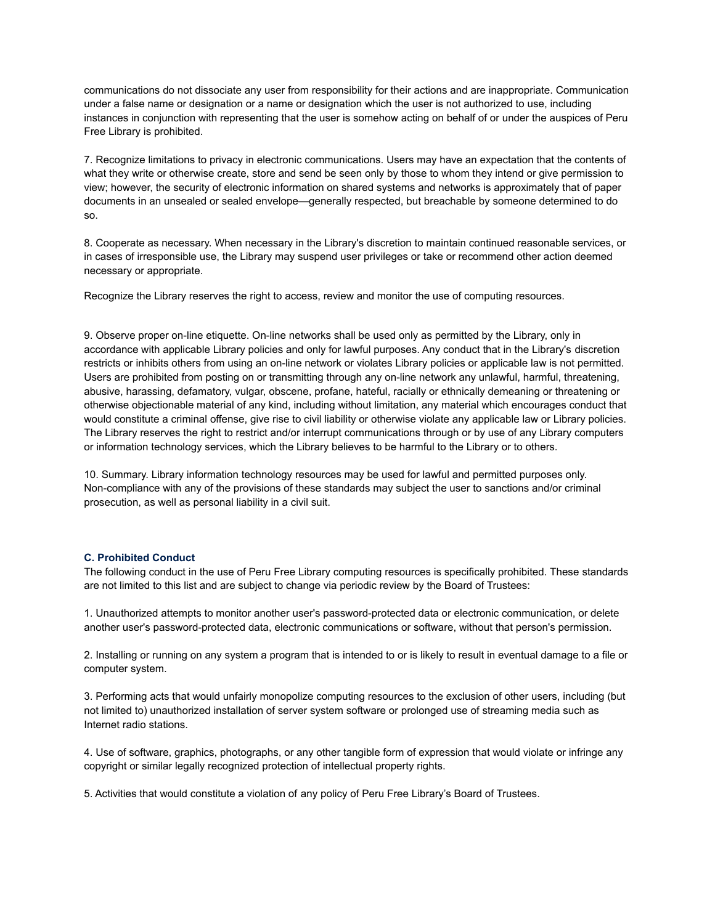communications do not dissociate any user from responsibility for their actions and are inappropriate. Communication under a false name or designation or a name or designation which the user is not authorized to use, including instances in conjunction with representing that the user is somehow acting on behalf of or under the auspices of Peru Free Library is prohibited.

7. Recognize limitations to privacy in electronic communications. Users may have an expectation that the contents of what they write or otherwise create, store and send be seen only by those to whom they intend or give permission to view; however, the security of electronic information on shared systems and networks is approximately that of paper documents in an unsealed or sealed envelope—generally respected, but breachable by someone determined to do so.

8. Cooperate as necessary. When necessary in the Library's discretion to maintain continued reasonable services, or in cases of irresponsible use, the Library may suspend user privileges or take or recommend other action deemed necessary or appropriate.

Recognize the Library reserves the right to access, review and monitor the use of computing resources.

9. Observe proper on-line etiquette. On-line networks shall be used only as permitted by the Library, only in accordance with applicable Library policies and only for lawful purposes. Any conduct that in the Library's discretion restricts or inhibits others from using an on-line network or violates Library policies or applicable law is not permitted. Users are prohibited from posting on or transmitting through any on-line network any unlawful, harmful, threatening, abusive, harassing, defamatory, vulgar, obscene, profane, hateful, racially or ethnically demeaning or threatening or otherwise objectionable material of any kind, including without limitation, any material which encourages conduct that would constitute a criminal offense, give rise to civil liability or otherwise violate any applicable law or Library policies. The Library reserves the right to restrict and/or interrupt communications through or by use of any Library computers or information technology services, which the Library believes to be harmful to the Library or to others.

10. Summary. Library information technology resources may be used for lawful and permitted purposes only. Non-compliance with any of the provisions of these standards may subject the user to sanctions and/or criminal prosecution, as well as personal liability in a civil suit.

## **C. Prohibited Conduct**

The following conduct in the use of Peru Free Library computing resources is specifically prohibited. These standards are not limited to this list and are subject to change via periodic review by the Board of Trustees:

1. Unauthorized attempts to monitor another user's password-protected data or electronic communication, or delete another user's password-protected data, electronic communications or software, without that person's permission.

2. Installing or running on any system a program that is intended to or is likely to result in eventual damage to a file or computer system.

3. Performing acts that would unfairly monopolize computing resources to the exclusion of other users, including (but not limited to) unauthorized installation of server system software or prolonged use of streaming media such as Internet radio stations.

4. Use of software, graphics, photographs, or any other tangible form of expression that would violate or infringe any copyright or similar legally recognized protection of intellectual property rights.

5. Activities that would constitute a violation of any policy of Peru Free Library's Board of Trustees.